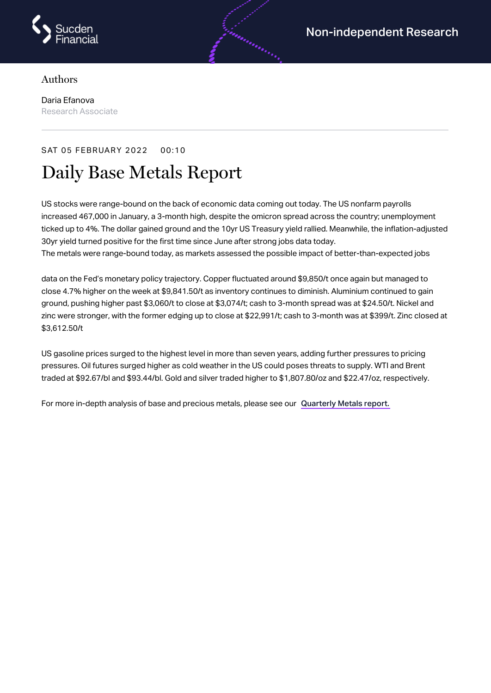

## Authors

Daria Efanova Research Associate

## SAT 05 FEBRUARY 2022 00:10

## Daily Base Metals Report

US stocks were range-bound on the back of economic data coming out today. The US nonfarm payrolls increased 467,000 in January, a 3-month high, despite the omicron spread across the country; unemployment ticked up to 4%. The dollar gained ground and the 10yr US Treasury yield rallied. Meanwhile, the inflation-adjusted 30yr yield turned positive for the first time since June after strong jobs data today. The metals were range-bound today, as markets assessed the possible impact of better-than-expected jobs

data on the Fed's monetary policy trajectory. Copper fluctuated around \$9,850/t once again but managed to close 4.7% higher on the week at \$9,841.50/t as inventory continues to diminish. Aluminium continued to gain ground, pushing higher past \$3,060/t to close at \$3,074/t; cash to 3-month spread was at \$24.50/t. Nickel and zinc were stronger, with the former edging up to close at \$22,991/t; cash to 3-month was at \$399/t. Zinc closed at \$3,612.50/t

US gasoline prices surged to the highest level in more than seven years, adding further pressures to pricing pressures. Oil futures surged higher as cold weather in the US could poses threats to supply. WTI and Brent traded at \$92.67/bl and \$93.44/bl. Gold and silver traded higher to \$1,807.80/oz and \$22.47/oz, respectively.

For more in-depth analysis of base and precious metals, please see our [Quarterly](https://www.sucdenfinancial.com/en/reports/quarterly-metals/qmr-q1-2022/) Metals report.